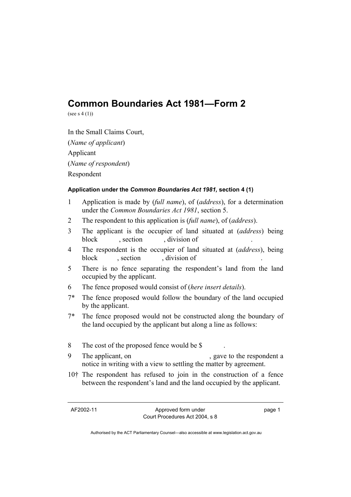# **Common Boundaries Act 1981—Form 2**

(see s 4 (1))

In the Small Claims Court, (*Name of applicant*) Applicant (*Name of respondent*) Respondent

#### **Application under the** *Common Boundaries Act 1981,* **section 4 (1)**

- 1 Application is made by (*full name*), of (*address*), for a determination under the *Common Boundaries Act 1981*, section 5.
- 2 The respondent to this application is (*full name*), of (*address*).
- 3 The applicant is the occupier of land situated at (*address*) being block , section , division of
- 4 The respondent is the occupier of land situated at (*address*), being block , section , division of
- 5 There is no fence separating the respondent's land from the land occupied by the applicant.
- 6 The fence proposed would consist of (*here insert details*).
- 7\* The fence proposed would follow the boundary of the land occupied by the applicant.
- 7\* The fence proposed would not be constructed along the boundary of the land occupied by the applicant but along a line as follows:
- 8 The cost of the proposed fence would be \$
- 9 The applicant, on , gave to the respondent a notice in writing with a view to settling the matter by agreement.
- 10† The respondent has refused to join in the construction of a fence between the respondent's land and the land occupied by the applicant.

AF2002-11 Approved form under Court Procedures Act 2004, s 8 page 1

Authorised by the ACT Parliamentary Counsel—also accessible at www.legislation.act.gov.au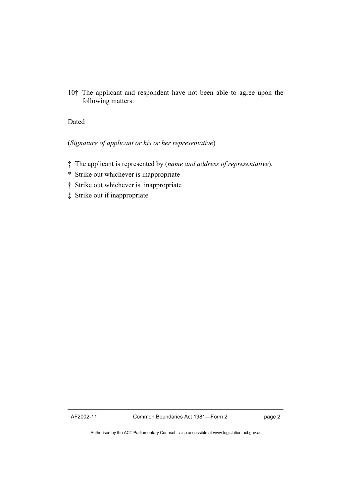10† The applicant and respondent have not been able to agree upon the following matters:

## Dated

## (*Signature of applicant or his or her representative*)

- ‡ The applicant is represented by (*name and address of representative*).
- \* Strike out whichever is inappropriate
- † Strike out whichever is inappropriate
- ‡ Strike out if inappropriate

Authorised by the ACT Parliamentary Counsel—also accessible at www.legislation.act.gov.au